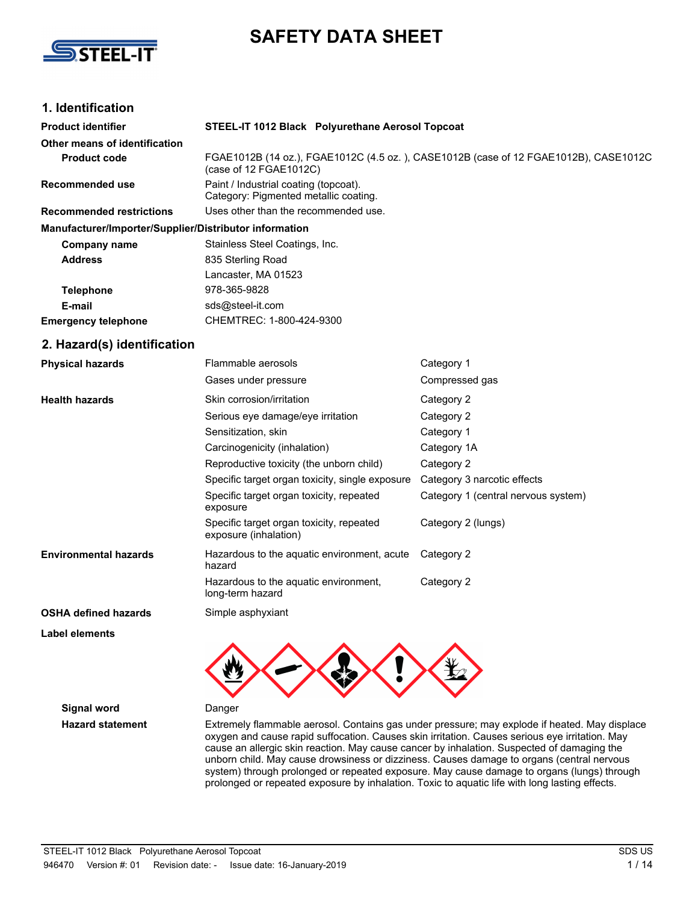



# **1. Identification**

| <b>Product identifier</b>                              | STEEL-IT 1012 Black Polyurethane Aerosol Topcoat                               |                                                                                               |
|--------------------------------------------------------|--------------------------------------------------------------------------------|-----------------------------------------------------------------------------------------------|
| Other means of identification                          |                                                                                |                                                                                               |
| <b>Product code</b>                                    | (case of 12 FGAE1012C)                                                         | FGAE1012B (14 oz.), FGAE1012C (4.5 oz.), CASE1012B (case of 12 FGAE1012B), CASE1012C          |
| <b>Recommended use</b>                                 | Paint / Industrial coating (topcoat).<br>Category: Pigmented metallic coating. |                                                                                               |
| <b>Recommended restrictions</b>                        | Uses other than the recommended use.                                           |                                                                                               |
| Manufacturer/Importer/Supplier/Distributor information |                                                                                |                                                                                               |
| <b>Company name</b>                                    | Stainless Steel Coatings, Inc.                                                 |                                                                                               |
| <b>Address</b>                                         | 835 Sterling Road                                                              |                                                                                               |
|                                                        | Lancaster, MA 01523                                                            |                                                                                               |
| <b>Telephone</b>                                       | 978-365-9828                                                                   |                                                                                               |
| E-mail                                                 | sds@steel-it.com                                                               |                                                                                               |
| <b>Emergency telephone</b>                             | CHEMTREC: 1-800-424-9300                                                       |                                                                                               |
| 2. Hazard(s) identification                            |                                                                                |                                                                                               |
| <b>Physical hazards</b>                                | Flammable aerosols                                                             | Category 1                                                                                    |
|                                                        | Gases under pressure                                                           | Compressed gas                                                                                |
| <b>Health hazards</b>                                  | Skin corrosion/irritation                                                      | Category 2                                                                                    |
|                                                        | Serious eye damage/eye irritation                                              | Category 2                                                                                    |
|                                                        | Sensitization, skin                                                            | Category 1                                                                                    |
|                                                        | Carcinogenicity (inhalation)                                                   | Category 1A                                                                                   |
|                                                        | Reproductive toxicity (the unborn child)                                       | Category 2                                                                                    |
|                                                        | Specific target organ toxicity, single exposure                                | Category 3 narcotic effects                                                                   |
|                                                        | Specific target organ toxicity, repeated<br>exposure                           | Category 1 (central nervous system)                                                           |
|                                                        | Specific target organ toxicity, repeated<br>exposure (inhalation)              | Category 2 (lungs)                                                                            |
| <b>Environmental hazards</b>                           | Hazardous to the aquatic environment, acute<br>hazard                          | Category 2                                                                                    |
|                                                        | Hazardous to the aquatic environment,<br>long-term hazard                      | Category 2                                                                                    |
| <b>OSHA defined hazards</b>                            | Simple asphyxiant                                                              |                                                                                               |
| <b>Label elements</b>                                  |                                                                                |                                                                                               |
|                                                        |                                                                                |                                                                                               |
| <b>Signal word</b>                                     | Danger                                                                         |                                                                                               |
| <b>Hazard statement</b>                                |                                                                                | Extremely flammable aerosol. Contains gas under pressure: may explode if heated. May displace |

Hazard statement **Extremely flammable aerosol. Contains gas under pressure**; may explode if heated. May displace oxygen and cause rapid suffocation. Causes skin irritation. Causes serious eye irritation. May cause an allergic skin reaction. May cause cancer by inhalation. Suspected of damaging the unborn child. May cause drowsiness or dizziness. Causes damage to organs (central nervous system) through prolonged or repeated exposure. May cause damage to organs (lungs) through prolonged or repeated exposure by inhalation. Toxic to aquatic life with long lasting effects.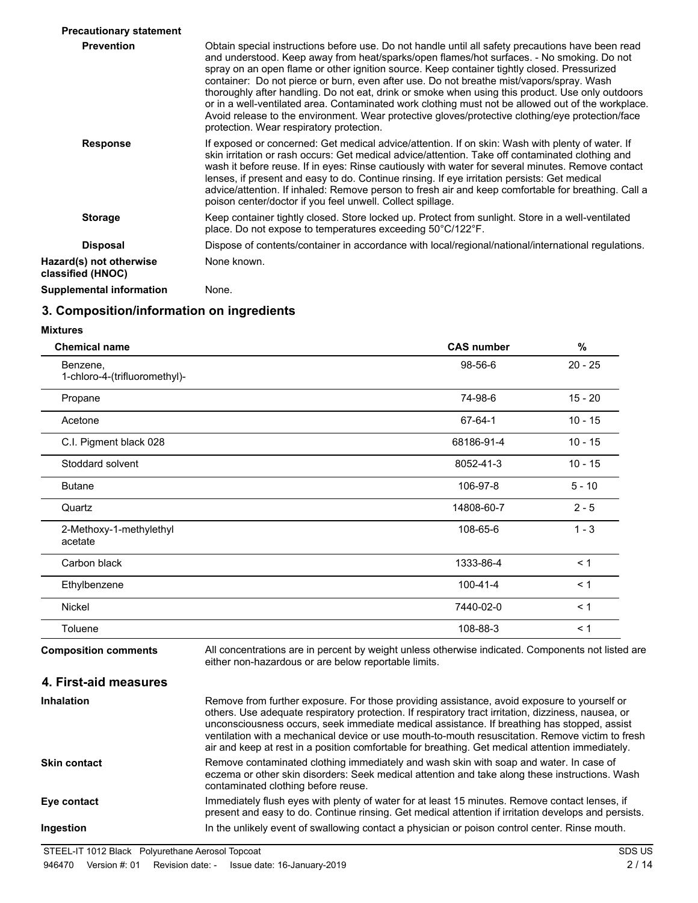| <b>Precautionary statement</b>               |                                                                                                                                                                                                                                                                                                                                                                                                                                                                                                                                                                                                                                                                                                                                                     |
|----------------------------------------------|-----------------------------------------------------------------------------------------------------------------------------------------------------------------------------------------------------------------------------------------------------------------------------------------------------------------------------------------------------------------------------------------------------------------------------------------------------------------------------------------------------------------------------------------------------------------------------------------------------------------------------------------------------------------------------------------------------------------------------------------------------|
| <b>Prevention</b>                            | Obtain special instructions before use. Do not handle until all safety precautions have been read<br>and understood. Keep away from heat/sparks/open flames/hot surfaces. - No smoking. Do not<br>spray on an open flame or other ignition source. Keep container tightly closed. Pressurized<br>container: Do not pierce or burn, even after use. Do not breathe mist/vapors/spray. Wash<br>thoroughly after handling. Do not eat, drink or smoke when using this product. Use only outdoors<br>or in a well-ventilated area. Contaminated work clothing must not be allowed out of the workplace.<br>Avoid release to the environment. Wear protective gloves/protective clothing/eye protection/face<br>protection. Wear respiratory protection. |
| <b>Response</b>                              | If exposed or concerned: Get medical advice/attention. If on skin: Wash with plenty of water. If<br>skin irritation or rash occurs: Get medical advice/attention. Take off contaminated clothing and<br>wash it before reuse. If in eyes: Rinse cautiously with water for several minutes. Remove contact<br>lenses, if present and easy to do. Continue rinsing. If eye irritation persists: Get medical<br>advice/attention. If inhaled: Remove person to fresh air and keep comfortable for breathing. Call a<br>poison center/doctor if you feel unwell. Collect spillage.                                                                                                                                                                      |
| <b>Storage</b>                               | Keep container tightly closed. Store locked up. Protect from sunlight. Store in a well-ventilated<br>place. Do not expose to temperatures exceeding 50°C/122°F.                                                                                                                                                                                                                                                                                                                                                                                                                                                                                                                                                                                     |
| <b>Disposal</b>                              | Dispose of contents/container in accordance with local/regional/national/international regulations.                                                                                                                                                                                                                                                                                                                                                                                                                                                                                                                                                                                                                                                 |
| Hazard(s) not otherwise<br>classified (HNOC) | None known.                                                                                                                                                                                                                                                                                                                                                                                                                                                                                                                                                                                                                                                                                                                                         |
| <b>Supplemental information</b>              | None.                                                                                                                                                                                                                                                                                                                                                                                                                                                                                                                                                                                                                                                                                                                                               |

## **3. Composition/information on ingredients**

#### **Mixtures**

| <b>Chemical name</b>                      | <b>CAS number</b>                                                                                                                                                                                  | $\%$      |
|-------------------------------------------|----------------------------------------------------------------------------------------------------------------------------------------------------------------------------------------------------|-----------|
| Benzene,<br>1-chloro-4-(trifluoromethyl)- | 98-56-6                                                                                                                                                                                            | $20 - 25$ |
| Propane                                   | 74-98-6                                                                                                                                                                                            | $15 - 20$ |
| Acetone                                   | 67-64-1                                                                                                                                                                                            | $10 - 15$ |
| C.I. Pigment black 028                    | 68186-91-4                                                                                                                                                                                         | $10 - 15$ |
| Stoddard solvent                          | 8052-41-3                                                                                                                                                                                          | $10 - 15$ |
| <b>Butane</b>                             | 106-97-8                                                                                                                                                                                           | $5 - 10$  |
| Quartz                                    | 14808-60-7                                                                                                                                                                                         | $2 - 5$   |
| 2-Methoxy-1-methylethyl<br>acetate        | 108-65-6                                                                                                                                                                                           | $1 - 3$   |
| Carbon black                              | 1333-86-4                                                                                                                                                                                          | < 1       |
| Ethylbenzene                              | $100 - 41 - 4$                                                                                                                                                                                     | < 1       |
| <b>Nickel</b>                             | 7440-02-0                                                                                                                                                                                          | < 1       |
| Toluene                                   | 108-88-3                                                                                                                                                                                           | < 1       |
| <b>Composition comments</b>               | All concentrations are in percent by weight unless otherwise indicated. Components not listed are<br>either non-hazardous or are below reportable limits.                                          |           |
| 4. First-aid measures                     |                                                                                                                                                                                                    |           |
| <b>Inhalation</b>                         | Remove from further exposure. For those providing assistance, avoid exposure to yourself or<br>others. Use adequate respiratory protection. If respiratory tract irritation, dizziness, nausea, or |           |

unconsciousness occurs, seek immediate medical assistance. If breathing has stopped, assist ventilation with a mechanical device or use mouth-to-mouth resuscitation. Remove victim to fresh air and keep at rest in a position comfortable for breathing. Get medical attention immediately. Remove contaminated clothing immediately and wash skin with soap and water. In case of eczema or other skin disorders: Seek medical attention and take along these instructions. Wash contaminated clothing before reuse. **Skin contact** Immediately flush eyes with plenty of water for at least 15 minutes. Remove contact lenses, if present and easy to do. Continue rinsing. Get medical attention if irritation develops and persists. **Eye contact Ingestion** In the unlikely event of swallowing contact a physician or poison control center. Rinse mouth.

STEEL-IT 1012 Black Polyurethane Aerosol Topcoat SDS US SDS US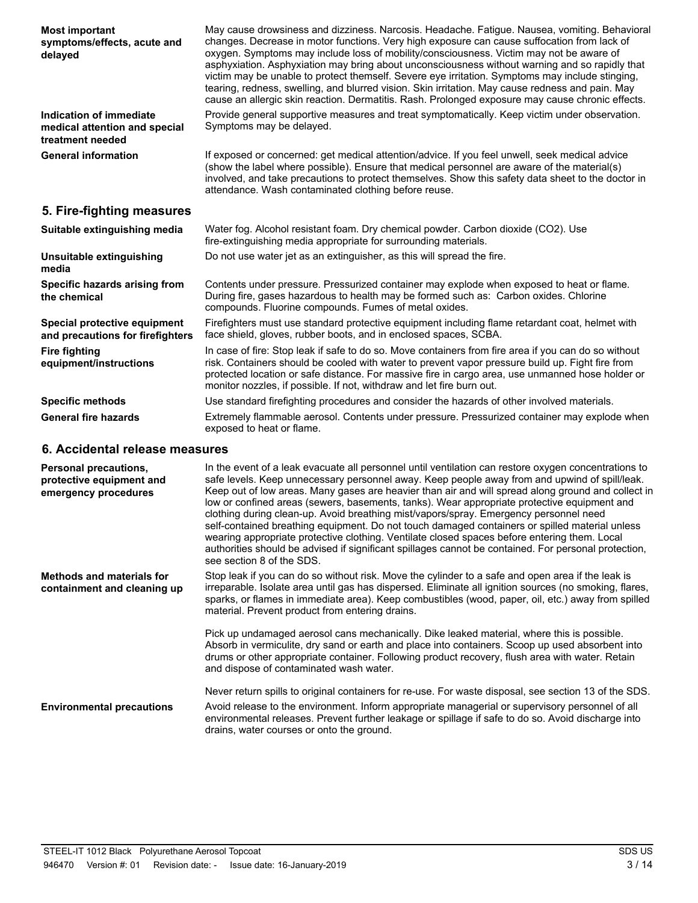| <b>Most important</b><br>symptoms/effects, acute and<br>delayed              | May cause drowsiness and dizziness. Narcosis. Headache. Fatigue. Nausea, vomiting. Behavioral<br>changes. Decrease in motor functions. Very high exposure can cause suffocation from lack of<br>oxygen. Symptoms may include loss of mobility/consciousness. Victim may not be aware of<br>asphyxiation. Asphyxiation may bring about unconsciousness without warning and so rapidly that<br>victim may be unable to protect themself. Severe eye irritation. Symptoms may include stinging,<br>tearing, redness, swelling, and blurred vision. Skin irritation. May cause redness and pain. May<br>cause an allergic skin reaction. Dermatitis. Rash. Prolonged exposure may cause chronic effects.                                                                                                                                       |
|------------------------------------------------------------------------------|--------------------------------------------------------------------------------------------------------------------------------------------------------------------------------------------------------------------------------------------------------------------------------------------------------------------------------------------------------------------------------------------------------------------------------------------------------------------------------------------------------------------------------------------------------------------------------------------------------------------------------------------------------------------------------------------------------------------------------------------------------------------------------------------------------------------------------------------|
| Indication of immediate<br>medical attention and special<br>treatment needed | Provide general supportive measures and treat symptomatically. Keep victim under observation.<br>Symptoms may be delayed.                                                                                                                                                                                                                                                                                                                                                                                                                                                                                                                                                                                                                                                                                                                  |
| <b>General information</b>                                                   | If exposed or concerned: get medical attention/advice. If you feel unwell, seek medical advice<br>(show the label where possible). Ensure that medical personnel are aware of the material(s)<br>involved, and take precautions to protect themselves. Show this safety data sheet to the doctor in<br>attendance. Wash contaminated clothing before reuse.                                                                                                                                                                                                                                                                                                                                                                                                                                                                                |
| 5. Fire-fighting measures                                                    |                                                                                                                                                                                                                                                                                                                                                                                                                                                                                                                                                                                                                                                                                                                                                                                                                                            |
| Suitable extinguishing media                                                 | Water fog. Alcohol resistant foam. Dry chemical powder. Carbon dioxide (CO2). Use<br>fire-extinguishing media appropriate for surrounding materials.                                                                                                                                                                                                                                                                                                                                                                                                                                                                                                                                                                                                                                                                                       |
| Unsuitable extinguishing<br>media                                            | Do not use water jet as an extinguisher, as this will spread the fire.                                                                                                                                                                                                                                                                                                                                                                                                                                                                                                                                                                                                                                                                                                                                                                     |
| Specific hazards arising from<br>the chemical                                | Contents under pressure. Pressurized container may explode when exposed to heat or flame.<br>During fire, gases hazardous to health may be formed such as: Carbon oxides. Chlorine<br>compounds. Fluorine compounds. Fumes of metal oxides.                                                                                                                                                                                                                                                                                                                                                                                                                                                                                                                                                                                                |
| Special protective equipment<br>and precautions for firefighters             | Firefighters must use standard protective equipment including flame retardant coat, helmet with<br>face shield, gloves, rubber boots, and in enclosed spaces, SCBA.                                                                                                                                                                                                                                                                                                                                                                                                                                                                                                                                                                                                                                                                        |
| <b>Fire fighting</b><br>equipment/instructions                               | In case of fire: Stop leak if safe to do so. Move containers from fire area if you can do so without<br>risk. Containers should be cooled with water to prevent vapor pressure build up. Fight fire from<br>protected location or safe distance. For massive fire in cargo area, use unmanned hose holder or<br>monitor nozzles, if possible. If not, withdraw and let fire burn out.                                                                                                                                                                                                                                                                                                                                                                                                                                                      |
| <b>Specific methods</b>                                                      | Use standard firefighting procedures and consider the hazards of other involved materials.                                                                                                                                                                                                                                                                                                                                                                                                                                                                                                                                                                                                                                                                                                                                                 |
| <b>General fire hazards</b>                                                  | Extremely flammable aerosol. Contents under pressure. Pressurized container may explode when<br>exposed to heat or flame.                                                                                                                                                                                                                                                                                                                                                                                                                                                                                                                                                                                                                                                                                                                  |
| 6. Accidental release measures                                               |                                                                                                                                                                                                                                                                                                                                                                                                                                                                                                                                                                                                                                                                                                                                                                                                                                            |
| Personal precautions,<br>protective equipment and<br>emergency procedures    | In the event of a leak evacuate all personnel until ventilation can restore oxygen concentrations to<br>safe levels. Keep unnecessary personnel away. Keep people away from and upwind of spill/leak.<br>Keep out of low areas. Many gases are heavier than air and will spread along ground and collect in<br>low or confined areas (sewers, basements, tanks). Wear appropriate protective equipment and<br>clothing during clean-up. Avoid breathing mist/vapors/spray. Emergency personnel need<br>self-contained breathing equipment. Do not touch damaged containers or spilled material unless<br>wearing appropriate protective clothing. Ventilate closed spaces before entering them. Local<br>authorities should be advised if significant spillages cannot be contained. For personal protection,<br>see section 8 of the SDS. |
|                                                                              |                                                                                                                                                                                                                                                                                                                                                                                                                                                                                                                                                                                                                                                                                                                                                                                                                                            |

Stop leak if you can do so without risk. Move the cylinder to a safe and open area if the leak is irreparable. Isolate area until gas has dispersed. Eliminate all ignition sources (no smoking, flares, sparks, or flames in immediate area). Keep combustibles (wood, paper, oil, etc.) away from spilled material. Prevent product from entering drains. **Methods and materials for containment and cleaning up**

> Pick up undamaged aerosol cans mechanically. Dike leaked material, where this is possible. Absorb in vermiculite, dry sand or earth and place into containers. Scoop up used absorbent into drums or other appropriate container. Following product recovery, flush area with water. Retain and dispose of contaminated wash water.

Never return spills to original containers for re-use. For waste disposal, see section 13 of the SDS.

Avoid release to the environment. Inform appropriate managerial or supervisory personnel of all environmental releases. Prevent further leakage or spillage if safe to do so. Avoid discharge into drains, water courses or onto the ground. **Environmental precautions**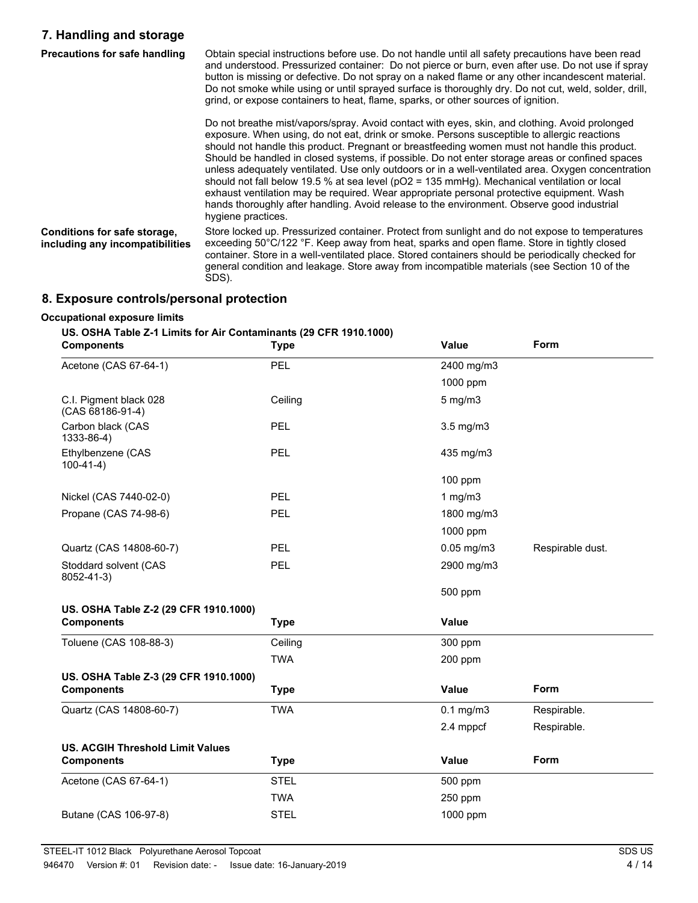# **7. Handling and storage**

| Precautions for safe handling                                   | Obtain special instructions before use. Do not handle until all safety precautions have been read<br>and understood. Pressurized container: Do not pierce or burn, even after use. Do not use if spray<br>button is missing or defective. Do not spray on a naked flame or any other incandescent material.<br>Do not smoke while using or until sprayed surface is thoroughly dry. Do not cut, weld, solder, drill,<br>grind, or expose containers to heat, flame, sparks, or other sources of ignition.                                                                                                                                                                                                                                                                                                                  |
|-----------------------------------------------------------------|----------------------------------------------------------------------------------------------------------------------------------------------------------------------------------------------------------------------------------------------------------------------------------------------------------------------------------------------------------------------------------------------------------------------------------------------------------------------------------------------------------------------------------------------------------------------------------------------------------------------------------------------------------------------------------------------------------------------------------------------------------------------------------------------------------------------------|
|                                                                 | Do not breathe mist/vapors/spray. Avoid contact with eyes, skin, and clothing. Avoid prolonged<br>exposure. When using, do not eat, drink or smoke. Persons susceptible to allergic reactions<br>should not handle this product. Pregnant or breastfeeding women must not handle this product.<br>Should be handled in closed systems, if possible. Do not enter storage areas or confined spaces<br>unless adequately ventilated. Use only outdoors or in a well-ventilated area. Oxygen concentration<br>should not fall below 19.5 % at sea level ( $pO2 = 135$ mmHg). Mechanical ventilation or local<br>exhaust ventilation may be required. Wear appropriate personal protective equipment. Wash<br>hands thoroughly after handling. Avoid release to the environment. Observe good industrial<br>hygiene practices. |
| Conditions for safe storage,<br>including any incompatibilities | Store locked up. Pressurized container. Protect from sunlight and do not expose to temperatures<br>exceeding 50°C/122 °F. Keep away from heat, sparks and open flame. Store in tightly closed<br>container. Store in a well-ventilated place. Stored containers should be periodically checked for<br>general condition and leakage. Store away from incompatible materials (see Section 10 of the<br>SDS).                                                                                                                                                                                                                                                                                                                                                                                                                |

# **8. Exposure controls/personal protection**

#### **Occupational exposure limits**

## **US. OSHA Table Z-1 Limits for Air Contaminants (29 CFR 1910.1000)**

| <b>Components</b>                          | <b>Type</b> | Value          | <b>Form</b>      |
|--------------------------------------------|-------------|----------------|------------------|
| Acetone (CAS 67-64-1)                      | PEL         | 2400 mg/m3     |                  |
|                                            |             | 1000 ppm       |                  |
| C.I. Pigment black 028<br>(CAS 68186-91-4) | Ceiling     | $5$ mg/m $3$   |                  |
| Carbon black (CAS<br>1333-86-4)            | <b>PEL</b>  | $3.5$ mg/m $3$ |                  |
| Ethylbenzene (CAS<br>$100-41-4)$           | <b>PEL</b>  | 435 mg/m3      |                  |
|                                            |             | 100 ppm        |                  |
| Nickel (CAS 7440-02-0)                     | <b>PEL</b>  | 1 $mg/m3$      |                  |
| Propane (CAS 74-98-6)                      | PEL         | 1800 mg/m3     |                  |
|                                            |             | 1000 ppm       |                  |
| Quartz (CAS 14808-60-7)                    | PEL         | 0.05 mg/m3     | Respirable dust. |
| Stoddard solvent (CAS<br>8052-41-3)        | <b>PEL</b>  | 2900 mg/m3     |                  |
|                                            |             | 500 ppm        |                  |
| US. OSHA Table Z-2 (29 CFR 1910.1000)      |             |                |                  |
| <b>Components</b>                          | <b>Type</b> | <b>Value</b>   |                  |
| Toluene (CAS 108-88-3)                     | Ceiling     | 300 ppm        |                  |
|                                            | <b>TWA</b>  | 200 ppm        |                  |
| US. OSHA Table Z-3 (29 CFR 1910.1000)      |             |                |                  |
| <b>Components</b>                          | <b>Type</b> | Value          | <b>Form</b>      |
| Quartz (CAS 14808-60-7)                    | <b>TWA</b>  | $0.1$ mg/m $3$ | Respirable.      |
|                                            |             | 2.4 mppcf      | Respirable.      |
| <b>US. ACGIH Threshold Limit Values</b>    |             |                |                  |
| <b>Components</b>                          | <b>Type</b> | Value          | Form             |
| Acetone (CAS 67-64-1)                      | <b>STEL</b> | 500 ppm        |                  |
|                                            | <b>TWA</b>  | 250 ppm        |                  |
| Butane (CAS 106-97-8)                      | <b>STEL</b> | 1000 ppm       |                  |
|                                            |             |                |                  |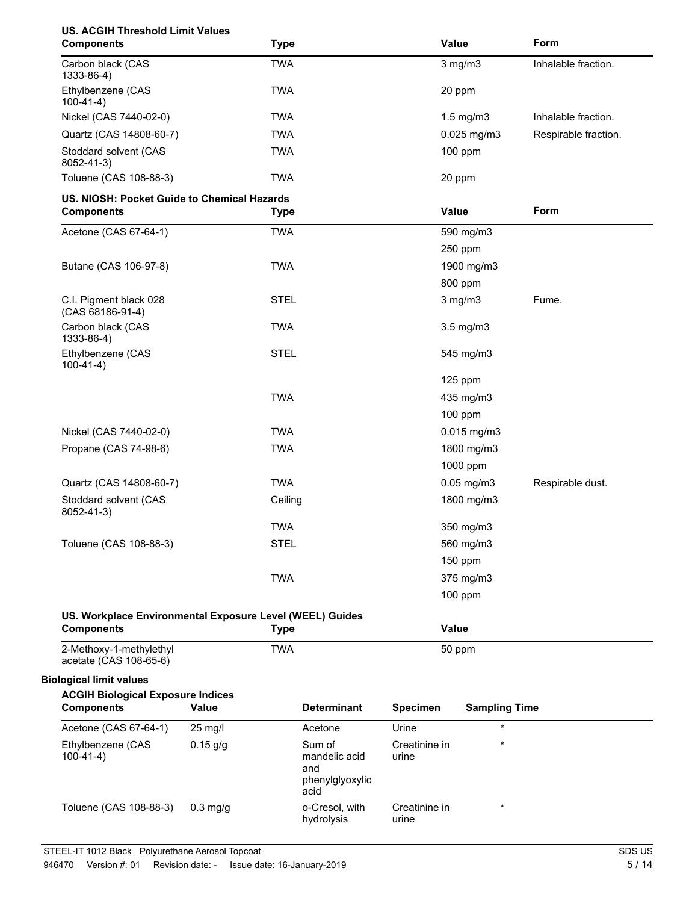| <b>US. ACGIH Threshold Limit Values</b><br><b>Components</b>                  |            | <b>Type</b> |                         |                        | Value                | Form                 |
|-------------------------------------------------------------------------------|------------|-------------|-------------------------|------------------------|----------------------|----------------------|
| Carbon black (CAS<br>1333-86-4)                                               |            | <b>TWA</b>  |                         |                        | $3$ mg/m $3$         | Inhalable fraction.  |
| Ethylbenzene (CAS<br>$100-41-4$ )                                             |            | <b>TWA</b>  |                         |                        | 20 ppm               |                      |
| Nickel (CAS 7440-02-0)                                                        |            | <b>TWA</b>  |                         |                        | $1.5$ mg/m $3$       | Inhalable fraction.  |
| Quartz (CAS 14808-60-7)                                                       |            | <b>TWA</b>  |                         |                        | $0.025$ mg/m3        | Respirable fraction. |
| Stoddard solvent (CAS<br>8052-41-3)                                           |            | <b>TWA</b>  |                         |                        | 100 ppm              |                      |
| Toluene (CAS 108-88-3)                                                        |            | <b>TWA</b>  |                         |                        | 20 ppm               |                      |
| US. NIOSH: Pocket Guide to Chemical Hazards                                   |            |             |                         |                        |                      |                      |
| <b>Components</b>                                                             |            | <b>Type</b> |                         |                        | Value                | Form                 |
| Acetone (CAS 67-64-1)                                                         |            | <b>TWA</b>  |                         |                        | 590 mg/m3            |                      |
|                                                                               |            |             |                         |                        | 250 ppm              |                      |
| Butane (CAS 106-97-8)                                                         |            | <b>TWA</b>  |                         |                        | 1900 mg/m3           |                      |
|                                                                               |            |             |                         |                        | 800 ppm              |                      |
| C.I. Pigment black 028<br>(CAS 68186-91-4)                                    |            | <b>STEL</b> |                         |                        | $3$ mg/m $3$         | Fume.                |
| Carbon black (CAS<br>1333-86-4)                                               |            | <b>TWA</b>  |                         |                        | 3.5 mg/m3            |                      |
| Ethylbenzene (CAS<br>$100-41-4)$                                              |            | <b>STEL</b> |                         |                        | 545 mg/m3            |                      |
|                                                                               |            |             |                         |                        | 125 ppm              |                      |
|                                                                               |            | <b>TWA</b>  |                         |                        | 435 mg/m3            |                      |
|                                                                               |            |             |                         |                        | $100$ ppm            |                      |
| Nickel (CAS 7440-02-0)                                                        |            | <b>TWA</b>  |                         |                        | $0.015$ mg/m3        |                      |
| Propane (CAS 74-98-6)                                                         |            | <b>TWA</b>  |                         |                        | 1800 mg/m3           |                      |
|                                                                               |            |             |                         |                        | 1000 ppm             |                      |
| Quartz (CAS 14808-60-7)                                                       |            | <b>TWA</b>  |                         |                        | $0.05$ mg/m $3$      | Respirable dust.     |
| Stoddard solvent (CAS<br>8052-41-3)                                           |            | Ceiling     |                         |                        | 1800 mg/m3           |                      |
|                                                                               |            | <b>TWA</b>  |                         |                        | 350 mg/m3            |                      |
| Toluene (CAS 108-88-3)                                                        |            | <b>STEL</b> |                         |                        | 560 mg/m3            |                      |
|                                                                               |            |             |                         |                        | 150 ppm              |                      |
|                                                                               |            | <b>TWA</b>  |                         |                        | 375 mg/m3            |                      |
|                                                                               |            |             |                         |                        | 100 ppm              |                      |
| US. Workplace Environmental Exposure Level (WEEL) Guides<br><b>Components</b> |            | <b>Type</b> |                         |                        | Value                |                      |
| 2-Methoxy-1-methylethyl<br>acetate (CAS 108-65-6)                             |            | <b>TWA</b>  |                         |                        | 50 ppm               |                      |
| <b>Biological limit values</b>                                                |            |             |                         |                        |                      |                      |
| <b>ACGIH Biological Exposure Indices</b><br><b>Components</b>                 | Value      |             | <b>Determinant</b>      | <b>Specimen</b>        | <b>Sampling Time</b> |                      |
| Acetone (CAS 67-64-1)                                                         | 25 mg/l    |             | Acetone                 | Urine                  |                      |                      |
| Ethylbenzene (CAS<br>$100-41-4)$                                              | $0.15$ g/g |             | Sum of<br>mandelic acid | Creatinine in<br>urine | $\star$              |                      |
|                                                                               |            |             | and<br>phenylglyoxylic  |                        |                      |                      |

acid

hydrolysis

Creatinine in urine

0.3 mg/g o-Cresol, with

Toluene (CAS 108-88-3) 0.3 mg/g o-Cresol, with Creatinine in \*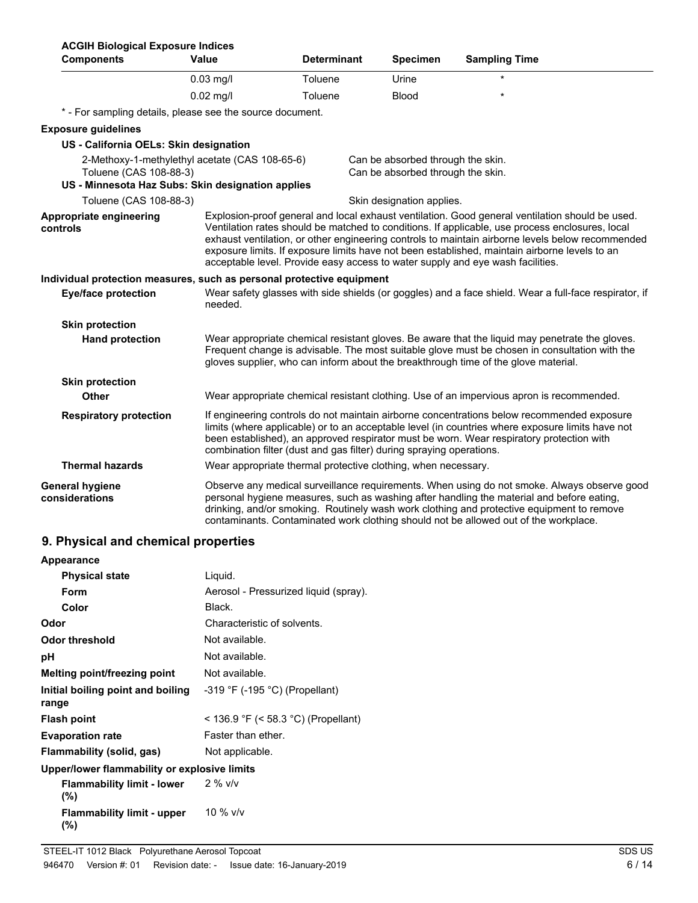| <b>ACGIH Biological Exposure Indices</b>                                                                                      |                                                                      |                    |                                                                        |                                                                                                                                                                                                                                                                                                                                                                                                                                                                                           |
|-------------------------------------------------------------------------------------------------------------------------------|----------------------------------------------------------------------|--------------------|------------------------------------------------------------------------|-------------------------------------------------------------------------------------------------------------------------------------------------------------------------------------------------------------------------------------------------------------------------------------------------------------------------------------------------------------------------------------------------------------------------------------------------------------------------------------------|
| <b>Components</b>                                                                                                             | <b>Value</b>                                                         | <b>Determinant</b> | <b>Specimen</b>                                                        | <b>Sampling Time</b>                                                                                                                                                                                                                                                                                                                                                                                                                                                                      |
|                                                                                                                               | $0.03$ mg/l                                                          | Toluene            | Urine                                                                  |                                                                                                                                                                                                                                                                                                                                                                                                                                                                                           |
|                                                                                                                               | $0.02$ mg/l                                                          | Toluene            | <b>Blood</b>                                                           |                                                                                                                                                                                                                                                                                                                                                                                                                                                                                           |
| * - For sampling details, please see the source document.                                                                     |                                                                      |                    |                                                                        |                                                                                                                                                                                                                                                                                                                                                                                                                                                                                           |
| <b>Exposure guidelines</b>                                                                                                    |                                                                      |                    |                                                                        |                                                                                                                                                                                                                                                                                                                                                                                                                                                                                           |
| US - California OELs: Skin designation                                                                                        |                                                                      |                    |                                                                        |                                                                                                                                                                                                                                                                                                                                                                                                                                                                                           |
| 2-Methoxy-1-methylethyl acetate (CAS 108-65-6)<br>Toluene (CAS 108-88-3)<br>US - Minnesota Haz Subs: Skin designation applies |                                                                      |                    | Can be absorbed through the skin.<br>Can be absorbed through the skin. |                                                                                                                                                                                                                                                                                                                                                                                                                                                                                           |
| Toluene (CAS 108-88-3)                                                                                                        |                                                                      |                    | Skin designation applies.                                              |                                                                                                                                                                                                                                                                                                                                                                                                                                                                                           |
| Appropriate engineering<br>controls                                                                                           |                                                                      |                    |                                                                        | Explosion-proof general and local exhaust ventilation. Good general ventilation should be used.<br>Ventilation rates should be matched to conditions. If applicable, use process enclosures, local<br>exhaust ventilation, or other engineering controls to maintain airborne levels below recommended<br>exposure limits. If exposure limits have not been established, maintain airborne levels to an<br>acceptable level. Provide easy access to water supply and eye wash facilities. |
| Individual protection measures, such as personal protective equipment                                                         |                                                                      |                    |                                                                        |                                                                                                                                                                                                                                                                                                                                                                                                                                                                                           |
| <b>Eye/face protection</b>                                                                                                    | needed.                                                              |                    |                                                                        | Wear safety glasses with side shields (or goggles) and a face shield. Wear a full-face respirator, if                                                                                                                                                                                                                                                                                                                                                                                     |
| <b>Skin protection</b>                                                                                                        |                                                                      |                    |                                                                        |                                                                                                                                                                                                                                                                                                                                                                                                                                                                                           |
| <b>Hand protection</b>                                                                                                        |                                                                      |                    |                                                                        | Wear appropriate chemical resistant gloves. Be aware that the liquid may penetrate the gloves.<br>Frequent change is advisable. The most suitable glove must be chosen in consultation with the<br>gloves supplier, who can inform about the breakthrough time of the glove material.                                                                                                                                                                                                     |
| <b>Skin protection</b>                                                                                                        |                                                                      |                    |                                                                        |                                                                                                                                                                                                                                                                                                                                                                                                                                                                                           |
| Other                                                                                                                         |                                                                      |                    |                                                                        | Wear appropriate chemical resistant clothing. Use of an impervious apron is recommended.                                                                                                                                                                                                                                                                                                                                                                                                  |
| <b>Respiratory protection</b>                                                                                                 | combination filter (dust and gas filter) during spraying operations. |                    |                                                                        | If engineering controls do not maintain airborne concentrations below recommended exposure<br>limits (where applicable) or to an acceptable level (in countries where exposure limits have not<br>been established), an approved respirator must be worn. Wear respiratory protection with                                                                                                                                                                                                |
| <b>Thermal hazards</b>                                                                                                        | Wear appropriate thermal protective clothing, when necessary.        |                    |                                                                        |                                                                                                                                                                                                                                                                                                                                                                                                                                                                                           |
| <b>General hygiene</b><br>considerations                                                                                      |                                                                      |                    |                                                                        | Observe any medical surveillance requirements. When using do not smoke. Always observe good<br>personal hygiene measures, such as washing after handling the material and before eating,<br>drinking, and/or smoking. Routinely wash work clothing and protective equipment to remove<br>contaminants. Contaminated work clothing should not be allowed out of the workplace.                                                                                                             |

# **9. Physical and chemical properties**

| Appearance                                   |                                       |
|----------------------------------------------|---------------------------------------|
| <b>Physical state</b>                        | Liquid.                               |
| Form                                         | Aerosol - Pressurized liquid (spray). |
| Color                                        | Black.                                |
| Odor                                         | Characteristic of solvents.           |
| Odor threshold                               | Not available.                        |
| рH                                           | Not available.                        |
| Melting point/freezing point                 | Not available.                        |
| Initial boiling point and boiling<br>range   | $-319$ °F ( $-195$ °C) (Propellant)   |
| <b>Flash point</b>                           | < 136.9 °F (< 58.3 °C) (Propellant)   |
| <b>Evaporation rate</b>                      | Faster than ether.                    |
| Flammability (solid, gas)                    | Not applicable.                       |
| Upper/lower flammability or explosive limits |                                       |
| <b>Flammability limit - lower</b><br>$(\%)$  | $2\%$ v/v                             |
| <b>Flammability limit - upper</b><br>(%)     | 10 % $v/v$                            |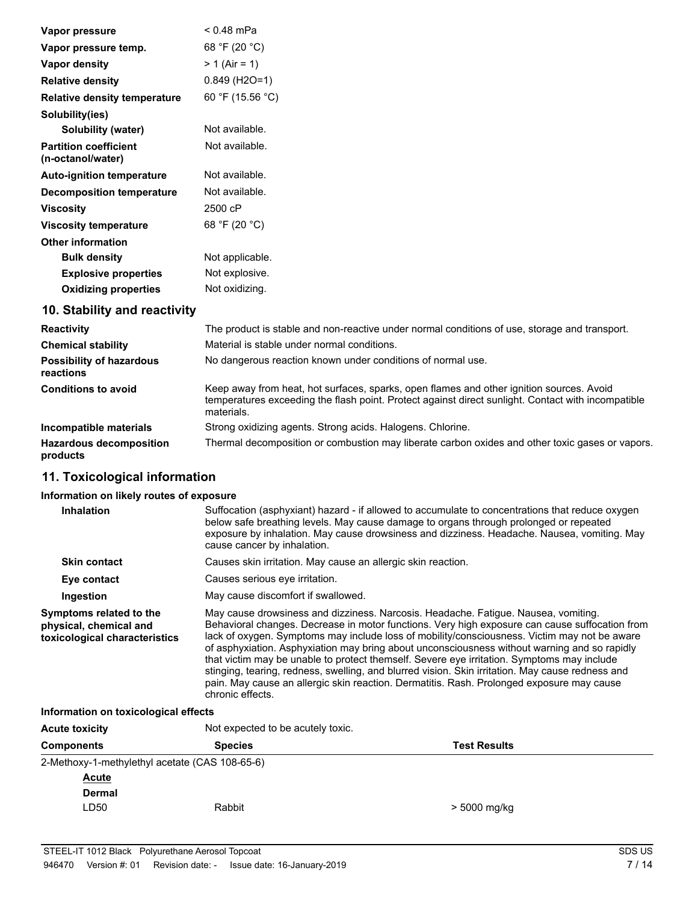| Vapor pressure                                    | $< 0.48$ mPa                 |
|---------------------------------------------------|------------------------------|
| Vapor pressure temp.                              | 68 °F (20 °C)                |
| Vapor density                                     | $> 1$ (Air = 1)              |
| <b>Relative density</b>                           | $0.849$ (H <sub>2</sub> O=1) |
| <b>Relative density temperature</b>               | 60 °F (15.56 °C)             |
| Solubility(ies)                                   |                              |
| Solubility (water)                                | Not available.               |
| <b>Partition coefficient</b><br>(n-octanol/water) | Not available.               |
| <b>Auto-ignition temperature</b>                  | Not available.               |
| Decomposition temperature                         | Not available.               |
| <b>Viscosity</b>                                  | 2500 cP                      |
| <b>Viscosity temperature</b>                      | 68 °F (20 °C)                |
| <b>Other information</b>                          |                              |
| <b>Bulk density</b>                               | Not applicable.              |
| <b>Explosive properties</b>                       | Not explosive.               |
| <b>Oxidizing properties</b>                       | Not oxidizing.               |
|                                                   |                              |

## **10. Stability and reactivity**

| <b>Reactivity</b>                            | The product is stable and non-reactive under normal conditions of use, storage and transport.                                                                                                                |
|----------------------------------------------|--------------------------------------------------------------------------------------------------------------------------------------------------------------------------------------------------------------|
| <b>Chemical stability</b>                    | Material is stable under normal conditions.                                                                                                                                                                  |
| <b>Possibility of hazardous</b><br>reactions | No dangerous reaction known under conditions of normal use.                                                                                                                                                  |
| <b>Conditions to avoid</b>                   | Keep away from heat, hot surfaces, sparks, open flames and other ignition sources. Avoid<br>temperatures exceeding the flash point. Protect against direct sunlight. Contact with incompatible<br>materials. |
| Incompatible materials                       | Strong oxidizing agents. Strong acids. Halogens. Chlorine.                                                                                                                                                   |
| <b>Hazardous decomposition</b><br>products   | Thermal decomposition or combustion may liberate carbon oxides and other toxic gases or vapors.                                                                                                              |

## **11. Toxicological information**

## **Information on likely routes of exposure**

| <b>Inhalation</b>                                                                  | Suffocation (asphyxiant) hazard - if allowed to accumulate to concentrations that reduce oxygen<br>below safe breathing levels. May cause damage to organs through prolonged or repeated<br>exposure by inhalation. May cause drowsiness and dizziness. Headache. Nausea, vomiting. May<br>cause cancer by inhalation.                                                                                                                                                                                                                                                                                                                                                                                  |
|------------------------------------------------------------------------------------|---------------------------------------------------------------------------------------------------------------------------------------------------------------------------------------------------------------------------------------------------------------------------------------------------------------------------------------------------------------------------------------------------------------------------------------------------------------------------------------------------------------------------------------------------------------------------------------------------------------------------------------------------------------------------------------------------------|
| <b>Skin contact</b>                                                                | Causes skin irritation. May cause an allergic skin reaction.                                                                                                                                                                                                                                                                                                                                                                                                                                                                                                                                                                                                                                            |
| Eye contact                                                                        | Causes serious eve irritation.                                                                                                                                                                                                                                                                                                                                                                                                                                                                                                                                                                                                                                                                          |
| Ingestion                                                                          | May cause discomfort if swallowed.                                                                                                                                                                                                                                                                                                                                                                                                                                                                                                                                                                                                                                                                      |
| Symptoms related to the<br>physical, chemical and<br>toxicological characteristics | May cause drowsiness and dizziness. Narcosis. Headache. Fatique. Nausea, vomiting.<br>Behavioral changes. Decrease in motor functions. Very high exposure can cause suffocation from<br>lack of oxygen. Symptoms may include loss of mobility/consciousness. Victim may not be aware<br>of asphyxiation. Asphyxiation may bring about unconsciousness without warning and so rapidly<br>that victim may be unable to protect themself. Severe eye irritation. Symptoms may include<br>stinging, tearing, redness, swelling, and blurred vision. Skin irritation. May cause redness and<br>pain. May cause an allergic skin reaction. Dermatitis. Rash. Prolonged exposure may cause<br>chronic effects. |

**Information on toxicological effects**

| <b>Acute toxicity</b>                          | Not expected to be acutely toxic. |              |  |
|------------------------------------------------|-----------------------------------|--------------|--|
| <b>Components</b>                              | <b>Test Results</b>               |              |  |
| 2-Methoxy-1-methylethyl acetate (CAS 108-65-6) |                                   |              |  |
| <b>Acute</b>                                   |                                   |              |  |
| <b>Dermal</b>                                  |                                   |              |  |
| LD <sub>50</sub>                               | Rabbit                            | > 5000 mg/kg |  |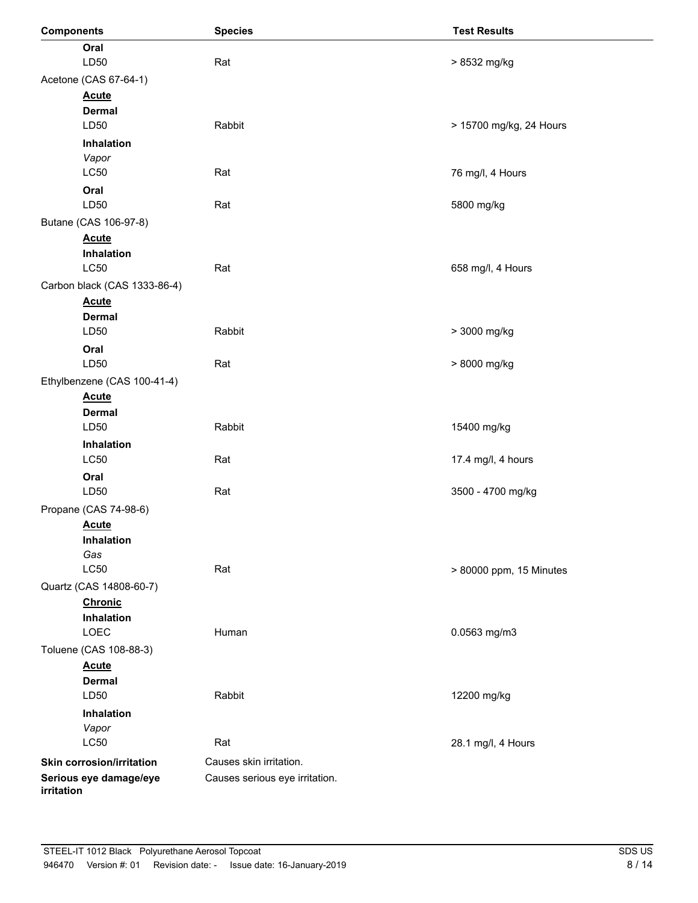| <b>Components</b>                | <b>Species</b>                 | <b>Test Results</b>     |
|----------------------------------|--------------------------------|-------------------------|
| Oral                             |                                |                         |
| LD50                             | Rat<br>> 8532 mg/kg            |                         |
| Acetone (CAS 67-64-1)            |                                |                         |
| <b>Acute</b>                     |                                |                         |
| <b>Dermal</b>                    |                                |                         |
| LD50                             | Rabbit                         | > 15700 mg/kg, 24 Hours |
| Inhalation                       |                                |                         |
| Vapor                            |                                |                         |
| <b>LC50</b>                      | Rat                            | 76 mg/l, 4 Hours        |
| Oral                             |                                |                         |
| LD50                             | Rat                            | 5800 mg/kg              |
| Butane (CAS 106-97-8)            |                                |                         |
| <b>Acute</b>                     |                                |                         |
| Inhalation<br><b>LC50</b>        | Rat                            | 658 mg/l, 4 Hours       |
|                                  |                                |                         |
| Carbon black (CAS 1333-86-4)     |                                |                         |
| <b>Acute</b><br><b>Dermal</b>    |                                |                         |
| LD50                             | Rabbit                         | > 3000 mg/kg            |
| Oral                             |                                |                         |
| LD50                             | Rat                            | > 8000 mg/kg            |
| Ethylbenzene (CAS 100-41-4)      |                                |                         |
| <b>Acute</b>                     |                                |                         |
| <b>Dermal</b>                    |                                |                         |
| LD50                             | Rabbit                         | 15400 mg/kg             |
| Inhalation                       |                                |                         |
| <b>LC50</b>                      | Rat                            | 17.4 mg/l, 4 hours      |
| Oral                             |                                |                         |
| LD50                             | Rat                            | 3500 - 4700 mg/kg       |
| Propane (CAS 74-98-6)            |                                |                         |
| <b>Acute</b>                     |                                |                         |
| Inhalation                       |                                |                         |
| Gas                              |                                |                         |
| <b>LC50</b>                      | Rat                            | > 80000 ppm, 15 Minutes |
| Quartz (CAS 14808-60-7)          |                                |                         |
| <b>Chronic</b>                   |                                |                         |
| Inhalation                       |                                |                         |
| LOEC                             | Human                          | 0.0563 mg/m3            |
| Toluene (CAS 108-88-3)           |                                |                         |
| <b>Acute</b><br><b>Dermal</b>    |                                |                         |
| LD50                             | Rabbit                         | 12200 mg/kg             |
| Inhalation                       |                                |                         |
| Vapor                            |                                |                         |
| L <sub>C</sub> 50                | Rat                            | 28.1 mg/l, 4 Hours      |
| <b>Skin corrosion/irritation</b> | Causes skin irritation.        |                         |
| Serious eye damage/eye           | Causes serious eye irritation. |                         |
| irritation                       |                                |                         |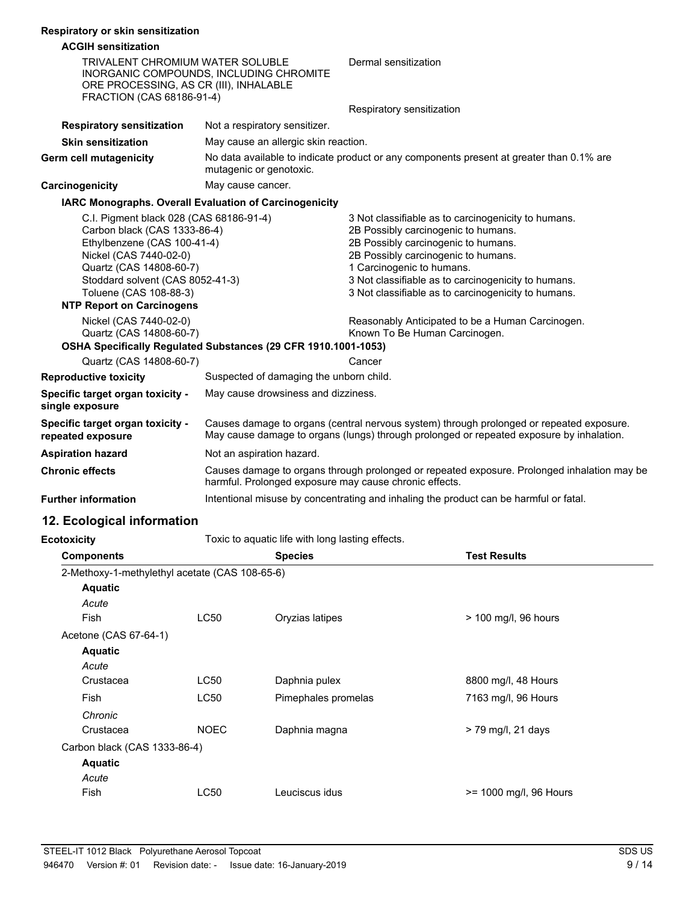| Respiratory or skin sensitization |
|-----------------------------------|
|-----------------------------------|

| <b>Respiratory or SKIII Sensitization</b>                                                                                                                                                                                                                                                                                                                                                                       |                                                                                                                                                                                      |                                                                                                                                                                                                                                                                                                                                                                                                                    |
|-----------------------------------------------------------------------------------------------------------------------------------------------------------------------------------------------------------------------------------------------------------------------------------------------------------------------------------------------------------------------------------------------------------------|--------------------------------------------------------------------------------------------------------------------------------------------------------------------------------------|--------------------------------------------------------------------------------------------------------------------------------------------------------------------------------------------------------------------------------------------------------------------------------------------------------------------------------------------------------------------------------------------------------------------|
| <b>ACGIH sensitization</b>                                                                                                                                                                                                                                                                                                                                                                                      |                                                                                                                                                                                      |                                                                                                                                                                                                                                                                                                                                                                                                                    |
| <b>TRIVALENT CHROMIUM WATER SOLUBLE</b><br>ORE PROCESSING, AS CR (III), INHALABLE<br>FRACTION (CAS 68186-91-4)                                                                                                                                                                                                                                                                                                  | INORGANIC COMPOUNDS, INCLUDING CHROMITE                                                                                                                                              | Dermal sensitization                                                                                                                                                                                                                                                                                                                                                                                               |
|                                                                                                                                                                                                                                                                                                                                                                                                                 |                                                                                                                                                                                      | Respiratory sensitization                                                                                                                                                                                                                                                                                                                                                                                          |
| <b>Respiratory sensitization</b>                                                                                                                                                                                                                                                                                                                                                                                | Not a respiratory sensitizer.                                                                                                                                                        |                                                                                                                                                                                                                                                                                                                                                                                                                    |
| <b>Skin sensitization</b>                                                                                                                                                                                                                                                                                                                                                                                       | May cause an allergic skin reaction.                                                                                                                                                 |                                                                                                                                                                                                                                                                                                                                                                                                                    |
| <b>Germ cell mutagenicity</b>                                                                                                                                                                                                                                                                                                                                                                                   | No data available to indicate product or any components present at greater than 0.1% are<br>mutagenic or genotoxic.                                                                  |                                                                                                                                                                                                                                                                                                                                                                                                                    |
| May cause cancer.<br>Carcinogenicity                                                                                                                                                                                                                                                                                                                                                                            |                                                                                                                                                                                      |                                                                                                                                                                                                                                                                                                                                                                                                                    |
|                                                                                                                                                                                                                                                                                                                                                                                                                 | IARC Monographs. Overall Evaluation of Carcinogenicity                                                                                                                               |                                                                                                                                                                                                                                                                                                                                                                                                                    |
| C.I. Pigment black 028 (CAS 68186-91-4)<br>Carbon black (CAS 1333-86-4)<br>Ethylbenzene (CAS 100-41-4)<br>Nickel (CAS 7440-02-0)<br>Quartz (CAS 14808-60-7)<br>Stoddard solvent (CAS 8052-41-3)<br>Toluene (CAS 108-88-3)<br><b>NTP Report on Carcinogens</b><br>Nickel (CAS 7440-02-0)<br>Quartz (CAS 14808-60-7)<br>OSHA Specifically Regulated Substances (29 CFR 1910.1001-1053)<br>Quartz (CAS 14808-60-7) |                                                                                                                                                                                      | 3 Not classifiable as to carcinogenicity to humans.<br>2B Possibly carcinogenic to humans.<br>2B Possibly carcinogenic to humans.<br>2B Possibly carcinogenic to humans.<br>1 Carcinogenic to humans.<br>3 Not classifiable as to carcinogenicity to humans.<br>3 Not classifiable as to carcinogenicity to humans.<br>Reasonably Anticipated to be a Human Carcinogen.<br>Known To Be Human Carcinogen.<br>Cancer |
| <b>Reproductive toxicity</b>                                                                                                                                                                                                                                                                                                                                                                                    | Suspected of damaging the unborn child.                                                                                                                                              |                                                                                                                                                                                                                                                                                                                                                                                                                    |
| Specific target organ toxicity -<br>single exposure                                                                                                                                                                                                                                                                                                                                                             | May cause drowsiness and dizziness.                                                                                                                                                  |                                                                                                                                                                                                                                                                                                                                                                                                                    |
| Specific target organ toxicity -<br>repeated exposure                                                                                                                                                                                                                                                                                                                                                           | Causes damage to organs (central nervous system) through prolonged or repeated exposure.<br>May cause damage to organs (lungs) through prolonged or repeated exposure by inhalation. |                                                                                                                                                                                                                                                                                                                                                                                                                    |
| <b>Aspiration hazard</b>                                                                                                                                                                                                                                                                                                                                                                                        | Not an aspiration hazard.                                                                                                                                                            |                                                                                                                                                                                                                                                                                                                                                                                                                    |
| <b>Chronic effects</b>                                                                                                                                                                                                                                                                                                                                                                                          | harmful. Prolonged exposure may cause chronic effects.                                                                                                                               | Causes damage to organs through prolonged or repeated exposure. Prolonged inhalation may be                                                                                                                                                                                                                                                                                                                        |
| <b>Further information</b>                                                                                                                                                                                                                                                                                                                                                                                      |                                                                                                                                                                                      | Intentional misuse by concentrating and inhaling the product can be harmful or fatal.                                                                                                                                                                                                                                                                                                                              |

# **12. Ecological information**

**Ecotoxicity** Toxic to aquatic life with long lasting effects.

| <b>Components</b>                              |             | <b>Species</b>      | <b>Test Results</b>    |  |
|------------------------------------------------|-------------|---------------------|------------------------|--|
| 2-Methoxy-1-methylethyl acetate (CAS 108-65-6) |             |                     |                        |  |
| <b>Aquatic</b>                                 |             |                     |                        |  |
| Acute                                          |             |                     |                        |  |
| Fish                                           | LC50        | Oryzias latipes     | > 100 mg/l, 96 hours   |  |
| Acetone (CAS 67-64-1)                          |             |                     |                        |  |
| <b>Aquatic</b>                                 |             |                     |                        |  |
| Acute                                          |             |                     |                        |  |
| Crustacea                                      | LC50        | Daphnia pulex       | 8800 mg/l, 48 Hours    |  |
| Fish                                           | LC50        | Pimephales promelas | 7163 mg/l, 96 Hours    |  |
| Chronic                                        |             |                     |                        |  |
| Crustacea                                      | <b>NOEC</b> | Daphnia magna       | $>$ 79 mg/l, 21 days   |  |
| Carbon black (CAS 1333-86-4)                   |             |                     |                        |  |
| <b>Aquatic</b>                                 |             |                     |                        |  |
| Acute                                          |             |                     |                        |  |
| <b>Fish</b>                                    | LC50        | Leuciscus idus      | >= 1000 mg/l, 96 Hours |  |
|                                                |             |                     |                        |  |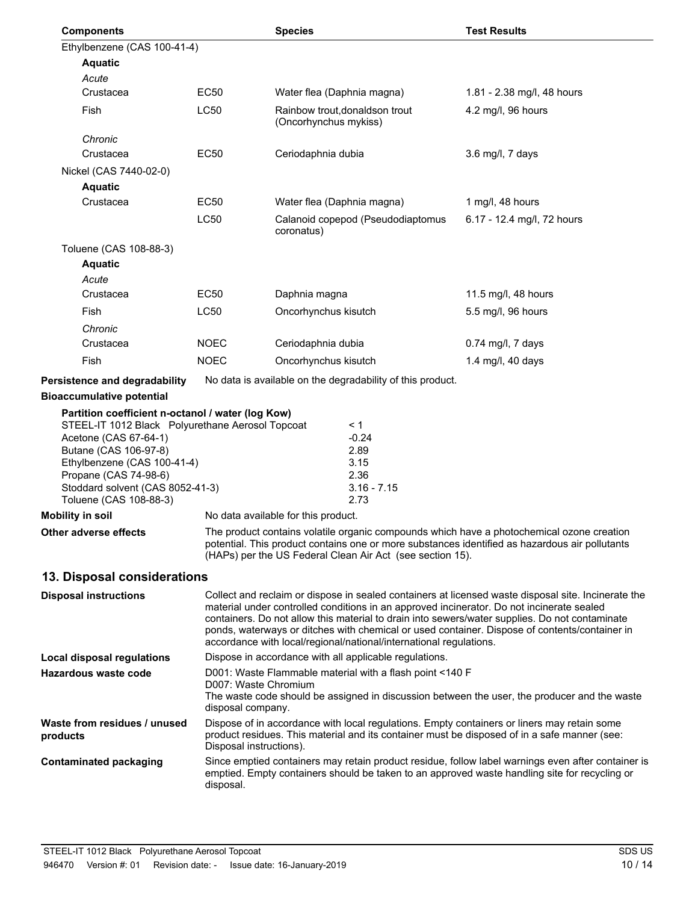| <b>Components</b>                                                                                                                                                                                                                                                             |                                                                                                                                                                                                                                                                                                                                                                                                                                                                           | <b>Species</b>                                                                                                                                                                                        |                                                                 | <b>Test Results</b>                                                                                                                                                                         |
|-------------------------------------------------------------------------------------------------------------------------------------------------------------------------------------------------------------------------------------------------------------------------------|---------------------------------------------------------------------------------------------------------------------------------------------------------------------------------------------------------------------------------------------------------------------------------------------------------------------------------------------------------------------------------------------------------------------------------------------------------------------------|-------------------------------------------------------------------------------------------------------------------------------------------------------------------------------------------------------|-----------------------------------------------------------------|---------------------------------------------------------------------------------------------------------------------------------------------------------------------------------------------|
| Ethylbenzene (CAS 100-41-4)                                                                                                                                                                                                                                                   |                                                                                                                                                                                                                                                                                                                                                                                                                                                                           |                                                                                                                                                                                                       |                                                                 |                                                                                                                                                                                             |
| <b>Aquatic</b>                                                                                                                                                                                                                                                                |                                                                                                                                                                                                                                                                                                                                                                                                                                                                           |                                                                                                                                                                                                       |                                                                 |                                                                                                                                                                                             |
| Acute                                                                                                                                                                                                                                                                         |                                                                                                                                                                                                                                                                                                                                                                                                                                                                           |                                                                                                                                                                                                       |                                                                 |                                                                                                                                                                                             |
| Crustacea                                                                                                                                                                                                                                                                     | <b>EC50</b>                                                                                                                                                                                                                                                                                                                                                                                                                                                               | Water flea (Daphnia magna)                                                                                                                                                                            |                                                                 | 1.81 - 2.38 mg/l, 48 hours                                                                                                                                                                  |
| Fish                                                                                                                                                                                                                                                                          | <b>LC50</b>                                                                                                                                                                                                                                                                                                                                                                                                                                                               | (Oncorhynchus mykiss)                                                                                                                                                                                 | Rainbow trout, donaldson trout                                  | 4.2 mg/l, 96 hours                                                                                                                                                                          |
| Chronic                                                                                                                                                                                                                                                                       |                                                                                                                                                                                                                                                                                                                                                                                                                                                                           |                                                                                                                                                                                                       |                                                                 |                                                                                                                                                                                             |
| Crustacea                                                                                                                                                                                                                                                                     | <b>EC50</b>                                                                                                                                                                                                                                                                                                                                                                                                                                                               | Ceriodaphnia dubia                                                                                                                                                                                    |                                                                 | 3.6 mg/l, 7 days                                                                                                                                                                            |
| Nickel (CAS 7440-02-0)                                                                                                                                                                                                                                                        |                                                                                                                                                                                                                                                                                                                                                                                                                                                                           |                                                                                                                                                                                                       |                                                                 |                                                                                                                                                                                             |
| <b>Aquatic</b>                                                                                                                                                                                                                                                                |                                                                                                                                                                                                                                                                                                                                                                                                                                                                           |                                                                                                                                                                                                       |                                                                 |                                                                                                                                                                                             |
| Crustacea                                                                                                                                                                                                                                                                     | <b>EC50</b>                                                                                                                                                                                                                                                                                                                                                                                                                                                               | Water flea (Daphnia magna)                                                                                                                                                                            |                                                                 | 1 mg/l, 48 hours                                                                                                                                                                            |
|                                                                                                                                                                                                                                                                               | LC50                                                                                                                                                                                                                                                                                                                                                                                                                                                                      | coronatus)                                                                                                                                                                                            | Calanoid copepod (Pseudodiaptomus                               | 6.17 - 12.4 mg/l, 72 hours                                                                                                                                                                  |
| Toluene (CAS 108-88-3)                                                                                                                                                                                                                                                        |                                                                                                                                                                                                                                                                                                                                                                                                                                                                           |                                                                                                                                                                                                       |                                                                 |                                                                                                                                                                                             |
| <b>Aquatic</b>                                                                                                                                                                                                                                                                |                                                                                                                                                                                                                                                                                                                                                                                                                                                                           |                                                                                                                                                                                                       |                                                                 |                                                                                                                                                                                             |
| Acute                                                                                                                                                                                                                                                                         |                                                                                                                                                                                                                                                                                                                                                                                                                                                                           |                                                                                                                                                                                                       |                                                                 |                                                                                                                                                                                             |
| Crustacea                                                                                                                                                                                                                                                                     | <b>EC50</b>                                                                                                                                                                                                                                                                                                                                                                                                                                                               | Daphnia magna                                                                                                                                                                                         |                                                                 | 11.5 mg/l, 48 hours                                                                                                                                                                         |
| Fish                                                                                                                                                                                                                                                                          | LC50                                                                                                                                                                                                                                                                                                                                                                                                                                                                      | Oncorhynchus kisutch                                                                                                                                                                                  |                                                                 | 5.5 mg/l, 96 hours                                                                                                                                                                          |
| Chronic                                                                                                                                                                                                                                                                       |                                                                                                                                                                                                                                                                                                                                                                                                                                                                           |                                                                                                                                                                                                       |                                                                 |                                                                                                                                                                                             |
| Crustacea                                                                                                                                                                                                                                                                     | <b>NOEC</b>                                                                                                                                                                                                                                                                                                                                                                                                                                                               | Ceriodaphnia dubia                                                                                                                                                                                    |                                                                 | 0.74 mg/l, 7 days                                                                                                                                                                           |
| Fish                                                                                                                                                                                                                                                                          | <b>NOEC</b>                                                                                                                                                                                                                                                                                                                                                                                                                                                               | Oncorhynchus kisutch                                                                                                                                                                                  |                                                                 | 1.4 mg/l, 40 days                                                                                                                                                                           |
| Persistence and degradability                                                                                                                                                                                                                                                 |                                                                                                                                                                                                                                                                                                                                                                                                                                                                           |                                                                                                                                                                                                       | No data is available on the degradability of this product.      |                                                                                                                                                                                             |
| <b>Bioaccumulative potential</b>                                                                                                                                                                                                                                              |                                                                                                                                                                                                                                                                                                                                                                                                                                                                           |                                                                                                                                                                                                       |                                                                 |                                                                                                                                                                                             |
| Partition coefficient n-octanol / water (log Kow)<br>STEEL-IT 1012 Black Polyurethane Aerosol Topcoat<br>Acetone (CAS 67-64-1)<br>Butane (CAS 106-97-8)<br>Ethylbenzene (CAS 100-41-4)<br>Propane (CAS 74-98-6)<br>Stoddard solvent (CAS 8052-41-3)<br>Toluene (CAS 108-88-3) |                                                                                                                                                                                                                                                                                                                                                                                                                                                                           |                                                                                                                                                                                                       | < 1<br>$-0.24$<br>2.89<br>3.15<br>2.36<br>$3.16 - 7.15$<br>2.73 |                                                                                                                                                                                             |
| Mobility in soil                                                                                                                                                                                                                                                              |                                                                                                                                                                                                                                                                                                                                                                                                                                                                           | No data available for this product.                                                                                                                                                                   |                                                                 |                                                                                                                                                                                             |
| Other adverse effects                                                                                                                                                                                                                                                         |                                                                                                                                                                                                                                                                                                                                                                                                                                                                           |                                                                                                                                                                                                       |                                                                 |                                                                                                                                                                                             |
|                                                                                                                                                                                                                                                                               | The product contains volatile organic compounds which have a photochemical ozone creation<br>potential. This product contains one or more substances identified as hazardous air pollutants<br>(HAPs) per the US Federal Clean Air Act (see section 15).                                                                                                                                                                                                                  |                                                                                                                                                                                                       |                                                                 |                                                                                                                                                                                             |
| 13. Disposal considerations                                                                                                                                                                                                                                                   |                                                                                                                                                                                                                                                                                                                                                                                                                                                                           |                                                                                                                                                                                                       |                                                                 |                                                                                                                                                                                             |
| <b>Disposal instructions</b>                                                                                                                                                                                                                                                  | Collect and reclaim or dispose in sealed containers at licensed waste disposal site. Incinerate the<br>material under controlled conditions in an approved incinerator. Do not incinerate sealed<br>containers. Do not allow this material to drain into sewers/water supplies. Do not contaminate<br>ponds, waterways or ditches with chemical or used container. Dispose of contents/container in<br>accordance with local/regional/national/international regulations. |                                                                                                                                                                                                       |                                                                 |                                                                                                                                                                                             |
| <b>Local disposal regulations</b>                                                                                                                                                                                                                                             |                                                                                                                                                                                                                                                                                                                                                                                                                                                                           |                                                                                                                                                                                                       | Dispose in accordance with all applicable regulations.          |                                                                                                                                                                                             |
| Hazardous waste code                                                                                                                                                                                                                                                          |                                                                                                                                                                                                                                                                                                                                                                                                                                                                           | D001: Waste Flammable material with a flash point <140 F<br>D007: Waste Chromium<br>The waste code should be assigned in discussion between the user, the producer and the waste<br>disposal company. |                                                                 |                                                                                                                                                                                             |
| Waste from residues / unused<br>products                                                                                                                                                                                                                                      | Disposal instructions).                                                                                                                                                                                                                                                                                                                                                                                                                                                   |                                                                                                                                                                                                       |                                                                 | Dispose of in accordance with local regulations. Empty containers or liners may retain some<br>product residues. This material and its container must be disposed of in a safe manner (see: |
| <b>Contaminated packaging</b>                                                                                                                                                                                                                                                 | Since emptied containers may retain product residue, follow label warnings even after container is<br>emptied. Empty containers should be taken to an approved waste handling site for recycling or<br>disposal.                                                                                                                                                                                                                                                          |                                                                                                                                                                                                       |                                                                 |                                                                                                                                                                                             |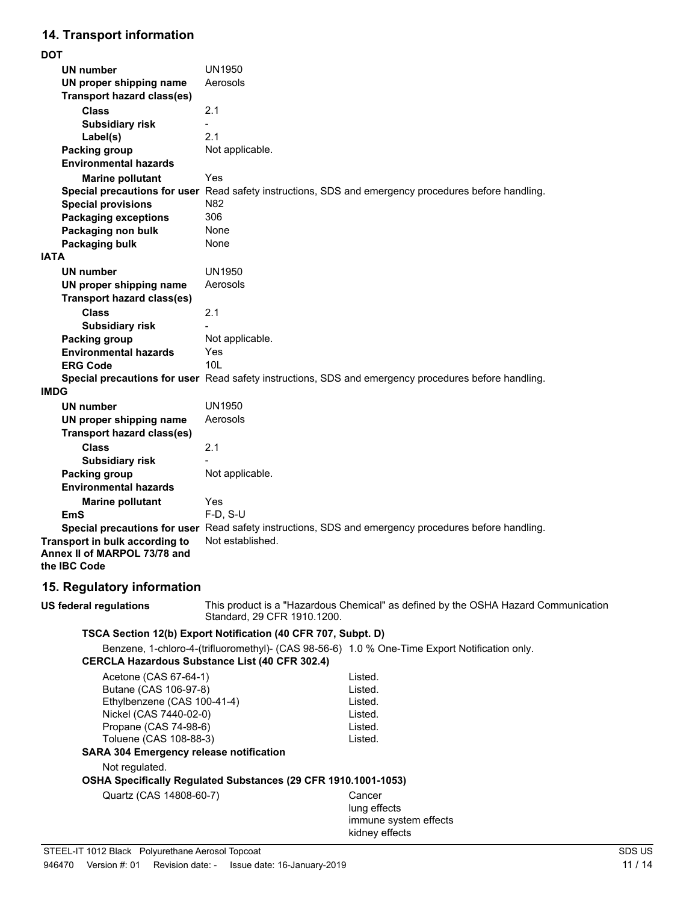# **14. Transport information**

| <b>UN1950</b><br><b>UN number</b><br>Aerosols<br>UN proper shipping name<br><b>Transport hazard class(es)</b><br><b>Class</b><br>2.1<br><b>Subsidiary risk</b><br>2.1<br>Label(s)<br>Not applicable.<br><b>Packing group</b><br><b>Environmental hazards</b><br>Yes<br><b>Marine pollutant</b><br>Special precautions for user Read safety instructions, SDS and emergency procedures before handling.<br><b>Special provisions</b><br>N82<br><b>Packaging exceptions</b><br>306<br>Packaging non bulk<br>None<br>Packaging bulk<br>None<br><b>IATA</b><br><b>UN number</b><br><b>UN1950</b><br>UN proper shipping name<br>Aerosols<br><b>Transport hazard class(es)</b><br><b>Class</b><br>2.1<br><b>Subsidiary risk</b><br>Not applicable.<br><b>Packing group</b><br><b>Environmental hazards</b><br>Yes |
|-------------------------------------------------------------------------------------------------------------------------------------------------------------------------------------------------------------------------------------------------------------------------------------------------------------------------------------------------------------------------------------------------------------------------------------------------------------------------------------------------------------------------------------------------------------------------------------------------------------------------------------------------------------------------------------------------------------------------------------------------------------------------------------------------------------|
|                                                                                                                                                                                                                                                                                                                                                                                                                                                                                                                                                                                                                                                                                                                                                                                                             |
|                                                                                                                                                                                                                                                                                                                                                                                                                                                                                                                                                                                                                                                                                                                                                                                                             |
|                                                                                                                                                                                                                                                                                                                                                                                                                                                                                                                                                                                                                                                                                                                                                                                                             |
|                                                                                                                                                                                                                                                                                                                                                                                                                                                                                                                                                                                                                                                                                                                                                                                                             |
|                                                                                                                                                                                                                                                                                                                                                                                                                                                                                                                                                                                                                                                                                                                                                                                                             |
|                                                                                                                                                                                                                                                                                                                                                                                                                                                                                                                                                                                                                                                                                                                                                                                                             |
|                                                                                                                                                                                                                                                                                                                                                                                                                                                                                                                                                                                                                                                                                                                                                                                                             |
|                                                                                                                                                                                                                                                                                                                                                                                                                                                                                                                                                                                                                                                                                                                                                                                                             |
|                                                                                                                                                                                                                                                                                                                                                                                                                                                                                                                                                                                                                                                                                                                                                                                                             |
|                                                                                                                                                                                                                                                                                                                                                                                                                                                                                                                                                                                                                                                                                                                                                                                                             |
|                                                                                                                                                                                                                                                                                                                                                                                                                                                                                                                                                                                                                                                                                                                                                                                                             |
|                                                                                                                                                                                                                                                                                                                                                                                                                                                                                                                                                                                                                                                                                                                                                                                                             |
|                                                                                                                                                                                                                                                                                                                                                                                                                                                                                                                                                                                                                                                                                                                                                                                                             |
|                                                                                                                                                                                                                                                                                                                                                                                                                                                                                                                                                                                                                                                                                                                                                                                                             |
|                                                                                                                                                                                                                                                                                                                                                                                                                                                                                                                                                                                                                                                                                                                                                                                                             |
|                                                                                                                                                                                                                                                                                                                                                                                                                                                                                                                                                                                                                                                                                                                                                                                                             |
|                                                                                                                                                                                                                                                                                                                                                                                                                                                                                                                                                                                                                                                                                                                                                                                                             |
|                                                                                                                                                                                                                                                                                                                                                                                                                                                                                                                                                                                                                                                                                                                                                                                                             |
|                                                                                                                                                                                                                                                                                                                                                                                                                                                                                                                                                                                                                                                                                                                                                                                                             |
|                                                                                                                                                                                                                                                                                                                                                                                                                                                                                                                                                                                                                                                                                                                                                                                                             |
|                                                                                                                                                                                                                                                                                                                                                                                                                                                                                                                                                                                                                                                                                                                                                                                                             |
|                                                                                                                                                                                                                                                                                                                                                                                                                                                                                                                                                                                                                                                                                                                                                                                                             |
| 10 <sub>L</sub><br><b>ERG Code</b>                                                                                                                                                                                                                                                                                                                                                                                                                                                                                                                                                                                                                                                                                                                                                                          |
| Special precautions for user Read safety instructions, SDS and emergency procedures before handling.                                                                                                                                                                                                                                                                                                                                                                                                                                                                                                                                                                                                                                                                                                        |
| <b>IMDG</b>                                                                                                                                                                                                                                                                                                                                                                                                                                                                                                                                                                                                                                                                                                                                                                                                 |
| <b>UN1950</b><br>UN number                                                                                                                                                                                                                                                                                                                                                                                                                                                                                                                                                                                                                                                                                                                                                                                  |
| Aerosols<br>UN proper shipping name                                                                                                                                                                                                                                                                                                                                                                                                                                                                                                                                                                                                                                                                                                                                                                         |
| <b>Transport hazard class(es)</b>                                                                                                                                                                                                                                                                                                                                                                                                                                                                                                                                                                                                                                                                                                                                                                           |
| <b>Class</b><br>2.1                                                                                                                                                                                                                                                                                                                                                                                                                                                                                                                                                                                                                                                                                                                                                                                         |
| <b>Subsidiary risk</b>                                                                                                                                                                                                                                                                                                                                                                                                                                                                                                                                                                                                                                                                                                                                                                                      |
| <b>Packing group</b><br>Not applicable.                                                                                                                                                                                                                                                                                                                                                                                                                                                                                                                                                                                                                                                                                                                                                                     |
| <b>Environmental hazards</b>                                                                                                                                                                                                                                                                                                                                                                                                                                                                                                                                                                                                                                                                                                                                                                                |
| Yes<br><b>Marine pollutant</b>                                                                                                                                                                                                                                                                                                                                                                                                                                                                                                                                                                                                                                                                                                                                                                              |
| $F-D$ , S-U<br>EmS                                                                                                                                                                                                                                                                                                                                                                                                                                                                                                                                                                                                                                                                                                                                                                                          |
| Special precautions for user Read safety instructions, SDS and emergency procedures before handling.                                                                                                                                                                                                                                                                                                                                                                                                                                                                                                                                                                                                                                                                                                        |
| Not established.<br>Transport in bulk according to                                                                                                                                                                                                                                                                                                                                                                                                                                                                                                                                                                                                                                                                                                                                                          |
| Annex II of MARPOL 73/78 and<br>the <b>IBC</b> Code                                                                                                                                                                                                                                                                                                                                                                                                                                                                                                                                                                                                                                                                                                                                                         |

# **15. Regulatory information**

| US federal regulations                                                                                                                                     | Standard, 29 CFR 1910.1200.                                           | This product is a "Hazardous Chemical" as defined by the OSHA Hazard Communication            |  |
|------------------------------------------------------------------------------------------------------------------------------------------------------------|-----------------------------------------------------------------------|-----------------------------------------------------------------------------------------------|--|
|                                                                                                                                                            | TSCA Section 12(b) Export Notification (40 CFR 707, Subpt. D)         |                                                                                               |  |
|                                                                                                                                                            | <b>CERCLA Hazardous Substance List (40 CFR 302.4)</b>                 | Benzene, 1-chloro-4-(trifluoromethyl)- (CAS 98-56-6) 1.0 % One-Time Export Notification only. |  |
| Acetone (CAS 67-64-1)<br>Butane (CAS 106-97-8)<br>Ethylbenzene (CAS 100-41-4)<br>Nickel (CAS 7440-02-0)<br>Propane (CAS 74-98-6)<br>Toluene (CAS 108-88-3) | <b>SARA 304 Emergency release notification</b>                        | Listed.<br>Listed.<br>Listed.<br>Listed.<br>Listed.<br>Listed.                                |  |
| Not regulated.<br>Quartz (CAS 14808-60-7)                                                                                                                  | <b>OSHA Specifically Requiated Substances (29 CFR 1910.1001-1053)</b> | Cancer<br>lung effects<br>immune system effects                                               |  |

kidney effects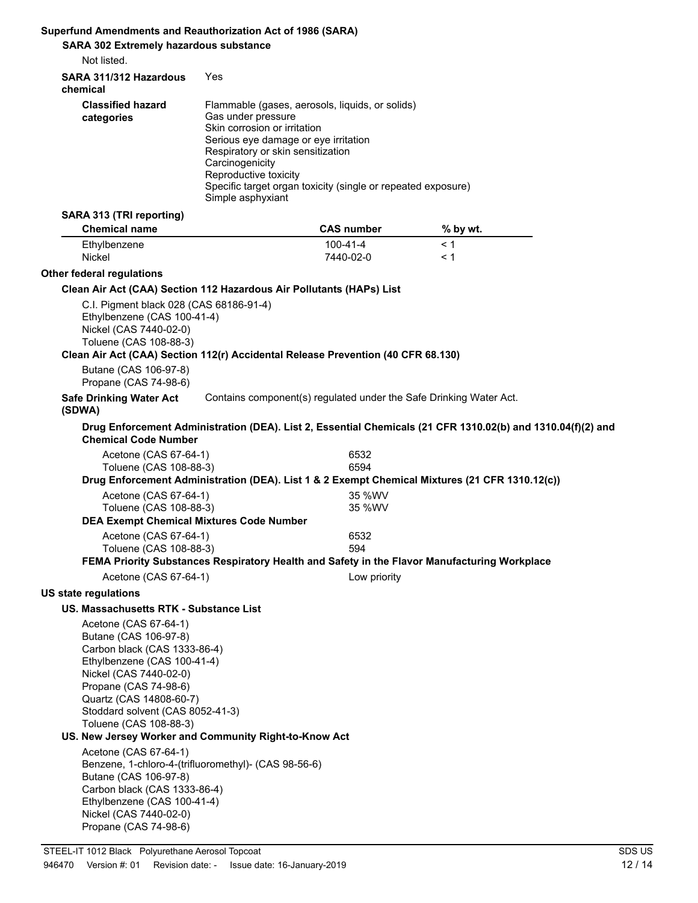## **Superfund Amendments and Reauthorization Act of 1986 (SARA)**

| <b>SARA 302 Extremely hazardous substance</b><br>Not listed.                                                                                                                                                                     |                                                                                                                                                                                                  |                                                                                                                 |                                                                                                             |  |
|----------------------------------------------------------------------------------------------------------------------------------------------------------------------------------------------------------------------------------|--------------------------------------------------------------------------------------------------------------------------------------------------------------------------------------------------|-----------------------------------------------------------------------------------------------------------------|-------------------------------------------------------------------------------------------------------------|--|
| SARA 311/312 Hazardous                                                                                                                                                                                                           | Yes                                                                                                                                                                                              |                                                                                                                 |                                                                                                             |  |
| chemical                                                                                                                                                                                                                         |                                                                                                                                                                                                  |                                                                                                                 |                                                                                                             |  |
| <b>Classified hazard</b><br>categories                                                                                                                                                                                           | Gas under pressure<br>Skin corrosion or irritation<br>Serious eye damage or eye irritation<br>Respiratory or skin sensitization<br>Carcinogenicity<br>Reproductive toxicity<br>Simple asphyxiant | Flammable (gases, aerosols, liquids, or solids)<br>Specific target organ toxicity (single or repeated exposure) |                                                                                                             |  |
| SARA 313 (TRI reporting)<br><b>Chemical name</b>                                                                                                                                                                                 |                                                                                                                                                                                                  | <b>CAS number</b>                                                                                               | % by wt.                                                                                                    |  |
| Ethylbenzene<br><b>Nickel</b>                                                                                                                                                                                                    |                                                                                                                                                                                                  | $100 - 41 - 4$<br>7440-02-0                                                                                     | < 1<br>< 1                                                                                                  |  |
| Other federal regulations                                                                                                                                                                                                        |                                                                                                                                                                                                  |                                                                                                                 |                                                                                                             |  |
| Clean Air Act (CAA) Section 112 Hazardous Air Pollutants (HAPs) List                                                                                                                                                             |                                                                                                                                                                                                  |                                                                                                                 |                                                                                                             |  |
| C.I. Pigment black 028 (CAS 68186-91-4)<br>Ethylbenzene (CAS 100-41-4)<br>Nickel (CAS 7440-02-0)<br>Toluene (CAS 108-88-3)<br>Clean Air Act (CAA) Section 112(r) Accidental Release Prevention (40 CFR 68.130)                   |                                                                                                                                                                                                  |                                                                                                                 |                                                                                                             |  |
| Butane (CAS 106-97-8)<br>Propane (CAS 74-98-6)                                                                                                                                                                                   |                                                                                                                                                                                                  |                                                                                                                 |                                                                                                             |  |
| <b>Safe Drinking Water Act</b><br>(SDWA)                                                                                                                                                                                         |                                                                                                                                                                                                  | Contains component(s) regulated under the Safe Drinking Water Act.                                              |                                                                                                             |  |
| <b>Chemical Code Number</b>                                                                                                                                                                                                      |                                                                                                                                                                                                  |                                                                                                                 | Drug Enforcement Administration (DEA). List 2, Essential Chemicals (21 CFR 1310.02(b) and 1310.04(f)(2) and |  |
| Acetone (CAS 67-64-1)<br>Toluene (CAS 108-88-3)                                                                                                                                                                                  |                                                                                                                                                                                                  | 6532<br>6594                                                                                                    | Drug Enforcement Administration (DEA). List 1 & 2 Exempt Chemical Mixtures (21 CFR 1310.12(c))              |  |
| Acetone (CAS 67-64-1)                                                                                                                                                                                                            |                                                                                                                                                                                                  | 35 %WV                                                                                                          |                                                                                                             |  |
| Toluene (CAS 108-88-3)                                                                                                                                                                                                           |                                                                                                                                                                                                  | 35 %WV                                                                                                          |                                                                                                             |  |
| <b>DEA Exempt Chemical Mixtures Code Number</b>                                                                                                                                                                                  |                                                                                                                                                                                                  |                                                                                                                 |                                                                                                             |  |
| Acetone (CAS 67-64-1)                                                                                                                                                                                                            |                                                                                                                                                                                                  | 6532                                                                                                            |                                                                                                             |  |
| Toluene (CAS 108-88-3)                                                                                                                                                                                                           |                                                                                                                                                                                                  | 594                                                                                                             | FEMA Priority Substances Respiratory Health and Safety in the Flavor Manufacturing Workplace                |  |
| Acetone (CAS 67-64-1)                                                                                                                                                                                                            |                                                                                                                                                                                                  | Low priority                                                                                                    |                                                                                                             |  |
| US state regulations                                                                                                                                                                                                             |                                                                                                                                                                                                  |                                                                                                                 |                                                                                                             |  |
| US. Massachusetts RTK - Substance List                                                                                                                                                                                           |                                                                                                                                                                                                  |                                                                                                                 |                                                                                                             |  |
| Acetone (CAS 67-64-1)                                                                                                                                                                                                            |                                                                                                                                                                                                  |                                                                                                                 |                                                                                                             |  |
| Butane (CAS 106-97-8)<br>Carbon black (CAS 1333-86-4)<br>Ethylbenzene (CAS 100-41-4)<br>Nickel (CAS 7440-02-0)<br>Propane (CAS 74-98-6)<br>Quartz (CAS 14808-60-7)<br>Stoddard solvent (CAS 8052-41-3)<br>Toluene (CAS 108-88-3) |                                                                                                                                                                                                  |                                                                                                                 |                                                                                                             |  |
| US. New Jersey Worker and Community Right-to-Know Act                                                                                                                                                                            |                                                                                                                                                                                                  |                                                                                                                 |                                                                                                             |  |
| Acetone (CAS 67-64-1)<br>Benzene, 1-chloro-4-(trifluoromethyl)- (CAS 98-56-6)<br>Butane (CAS 106-97-8)<br>Carbon black (CAS 1333-86-4)<br>Ethylbenzene (CAS 100-41-4)<br>Nickel (CAS 7440-02-0)<br>Propane (CAS 74-98-6)         |                                                                                                                                                                                                  |                                                                                                                 |                                                                                                             |  |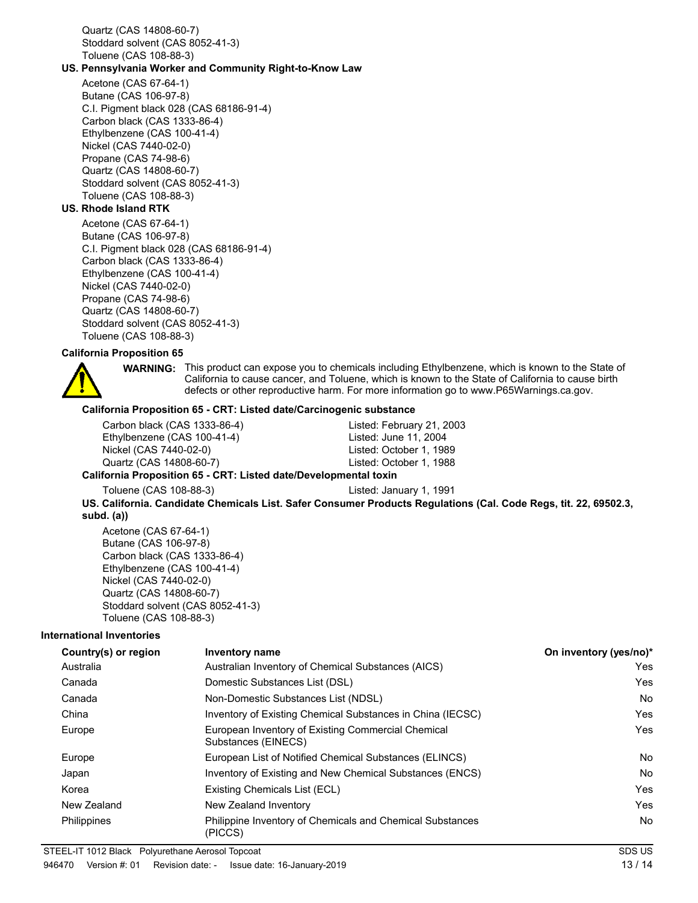Quartz (CAS 14808-60-7) Stoddard solvent (CAS 8052-41-3) Toluene (CAS 108-88-3)

### **US. Pennsylvania Worker and Community Right-to-Know Law**

Acetone (CAS 67-64-1) Butane (CAS 106-97-8) C.I. Pigment black 028 (CAS 68186-91-4) Carbon black (CAS 1333-86-4) Ethylbenzene (CAS 100-41-4) Nickel (CAS 7440-02-0) Propane (CAS 74-98-6) Quartz (CAS 14808-60-7) Stoddard solvent (CAS 8052-41-3) Toluene (CAS 108-88-3)

## **US. Rhode Island RTK**

Acetone (CAS 67-64-1) Butane (CAS 106-97-8) C.I. Pigment black 028 (CAS 68186-91-4) Carbon black (CAS 1333-86-4) Ethylbenzene (CAS 100-41-4) Nickel (CAS 7440-02-0) Propane (CAS 74-98-6) Quartz (CAS 14808-60-7) Stoddard solvent (CAS 8052-41-3) Toluene (CAS 108-88-3)

#### **California Proposition 65**

WARNING: This product can expose you to chemicals including Ethylbenzene, which is known to the State of California to cause cancer, and Toluene, which is known to the State of California to cause birth defects or other reproductive harm. For more information go to www.P65Warnings.ca.gov.

#### **California Proposition 65 - CRT: Listed date/Carcinogenic substance**

Carbon black (CAS 1333-86-4) Listed: February 21, 2003 Ethylbenzene (CAS 100-41-4) Listed: June 11, 2004 Nickel (CAS 7440-02-0) Listed: October 1, 1989 Quartz (CAS 14808-60-7) Listed: October 1, 1988

#### **California Proposition 65 - CRT: Listed date/Developmental toxin**

Toluene (CAS 108-88-3) Listed: January 1, 1991

**US. California. Candidate Chemicals List. Safer Consumer Products Regulations (Cal. Code Regs, tit. 22, 69502.3, subd. (a))**

Acetone (CAS 67-64-1) Butane (CAS 106-97-8) Carbon black (CAS 1333-86-4) Ethylbenzene (CAS 100-41-4) Nickel (CAS 7440-02-0) Quartz (CAS 14808-60-7) Stoddard solvent (CAS 8052-41-3) Toluene (CAS 108-88-3)

#### **International Inventories**

| Country(s) or region | <b>Inventory name</b>                                                     | On inventory (yes/no)* |
|----------------------|---------------------------------------------------------------------------|------------------------|
| Australia            | Australian Inventory of Chemical Substances (AICS)                        | Yes                    |
| Canada               | Domestic Substances List (DSL)                                            | Yes                    |
| Canada               | Non-Domestic Substances List (NDSL)                                       | No.                    |
| China                | Inventory of Existing Chemical Substances in China (IECSC)                | <b>Yes</b>             |
| Europe               | European Inventory of Existing Commercial Chemical<br>Substances (EINECS) | <b>Yes</b>             |
| Europe               | European List of Notified Chemical Substances (ELINCS)                    | No.                    |
| Japan                | Inventory of Existing and New Chemical Substances (ENCS)                  | No.                    |
| Korea                | Existing Chemicals List (ECL)                                             | Yes                    |
| New Zealand          | New Zealand Inventory                                                     | <b>Yes</b>             |
| <b>Philippines</b>   | Philippine Inventory of Chemicals and Chemical Substances<br>(PICCS)      | No.                    |